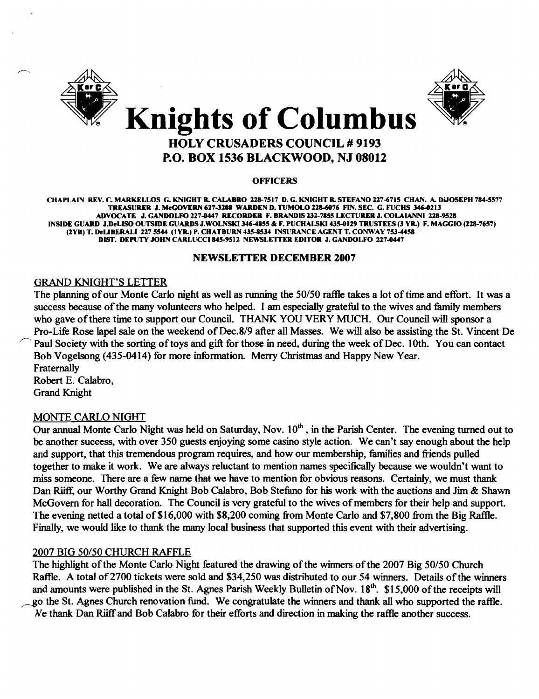



### HOLY CRUSADERS COUNCIL # 9193 P.O. BOX 1536 BLACKWOOD, NJ 08012

#### **OFFICERS**

CHAPLAIN REV. C. MARKELLOS G. KNIGHT R. CALABRO 228-7517 D. G. KNIGHT R. STEFANO 227-6715 CHAN. A. DiJOSEPH 784-5577 TREASURER J. McGOVERN 627-3208 WARDEN D. TUMOLO 228-6076 FIN. SEC. G. FUCHS 346-0213 ADVOCATE J. GANDOLFO 227-0447 RECORDER F. BRANDIS 232-7855 LECTURER J. COLAIANNI 218-9518 INSIDE GUARD J.DeLISO OUTSIDE GUARDS J.WOLNSKI 346-4855 & F. PUCHALSKI 435-0129 TRUSTEES (3 YR.) F. MAGGIO (228-7657) (2YR) T. DeLIBERALI 227 5544 (1YR.) P. CHATBURN 435-8534 INSURANCE AGENT T. CONWAY 753-4458 DIST. DEPUTY JOHN CARLUCCI 845-9512 NEWSLETTER EDITOR J. GANDOLFO 227-0447

#### NEWSLETTER DECEMBER 2007

#### GRAND KNIGHT'S LETTER

The planning of our Monte Carlo night as well as running the 50/50 raffle takes a lot of time and effort. It was a success because of the many volunteers who helped. I am especially grateful to the wives and family members who gave of there time to support our Council. THANK YOU VERY MUCH. Our Council will sponsor a Pro-Life Rose lapel sale on the weekend of Dec.8/9 after all Masses. We will also be assisting the St. Vincent De Paul Society with the sorting of toys and gift for those in need, during the week of Dec. 10th. You can contact Bob Vogelsong (435-0414) for more infonnation. Merry Christmas and Happy New Year. Fraternally

Robert E. Calabro, Grand Knight

#### MONTE CARLO NIGHT

Our annual Monte Carlo Night was held on Saturday, Nov.  $10<sup>th</sup>$ , in the Parish Center. The evening turned out to be another success, with over 350 guests enjoying some casino style action. We can't say enough about the help and support, that this tremendous program requires, and how our membership, families and friends pulled together to make it work. We are always reluctant to mention names specifically because we wouldn't want to miss someone. There are a few name that we have to mention for obvious reasons. Certainly, we must thank Dan Riiff, our Worthy Grand Knight Bob Calabro, Bob Stefano for his work with the auctions and Jim & Shawn McGovern for hall decoration. The Council is very grateful to the wives of members for their help and support. The evening netted a total of \$16,000 with \$8,200 coming from Monte Carlo and \$7,800 from the Big Raffle. Finally, we would like to thank the many local business that supported this event with their advertising.

#### 2007 BIG 50/50 CHURCH RAFFLE

The highlight of the Monte Carlo Night featured the drawing of the winners of the 2007 Big 50/50 Church Raffle. A total of 2700 tickets were sold and \$34,250 was distributed to our 54 winners. Details of the winners and amounts were published in the St. Agnes Parish Weekly Bulletin of Nov.  $18<sup>th</sup>$ . \$15,000 of the receipts will go the St. Agnes Church renovation fund. We congratulate the winners and thank all who supported the raffle. We thank Dan Riiffand Bob Calabro for their efforts and direction in making the raflle another success.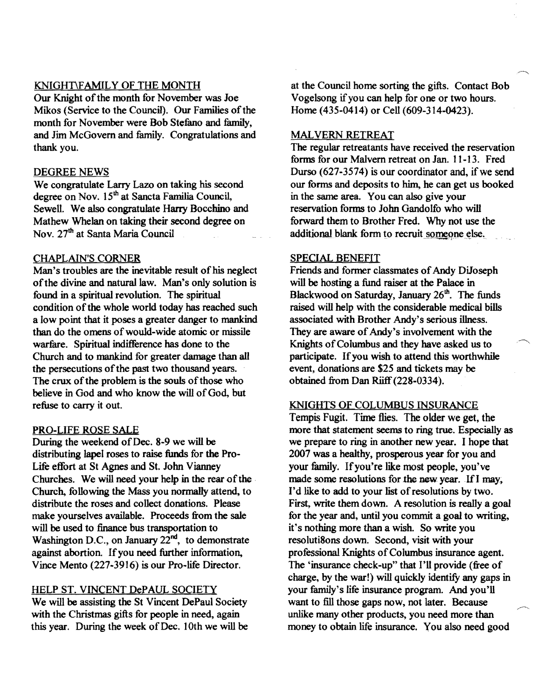#### KNIGHT\F AMIL Y OF THE MONTH

Our Knight of the month for November was Joe Mikos (Service to the Council). Our Families of the month for November were Bob Stefano and family, and Jim McGovern and family. Congratulations and thank you.

#### DEGREE NEWS

We congratulate Larry Lazo on taking his second degree on Nov. 15<sup>th</sup> at Sancta Familia Council, Sewell. We also congratulate Harry Bocchino and Mathew Whelan on taking their second degree on Nov. 27<sup>th</sup> at Santa Maria Council

#### CHAPLAIN'S CORNER

Man's troubles are the inevitable result of his neglect of the divine and natural law. Man's only solution is found in a spiritual revolution. The spiritual condition of the whole world today has reached such a low point that it poses a greater danger to mankind than do the omens of would-wide atomic or missile warfare. Spiritual indifference has done to the Church and to mankind for greater damage than all the persecutions of the past two thousand years. The crux of the problem is the souls of those who believe in God and who know the will of God, but refuse to carry it out.

#### PRO-LIFE ROSE SALE

During the weekend of Dec. 8-9 we will be distributing lapel roses to raise funds for the Pro-Life effort at 8t Agnes and 8t. John Vianney Churches. We will need your help in the rear of the Church, following the Mass you normally attend, to distribute the roses and collect donations. Please make yourselves available. Proceeds from the sale will be used to finance bus transportation to Washington D.C., on January  $22<sup>nd</sup>$ , to demonstrate against abortion. Ifyou need further information, Vince Mento (227-3916) is our Pro-life Director.

#### HELP ST. VINCENT DePAUL SOCIETY

We will be assisting the St Vincent DePaul Society with the Christmas gifts for people in need, again this year. During the week of Dec. 10th we will be at the Council home sorting the gifts. Contact Bob Vogelsong if you can help for one or two hours. Home (435-0414) or Cell (609-314-0423).

#### MAL VERN RETREAT

The regular retreatants have received the reservation forms for our Malvern retreat on Jan. 11-13. Fred Durso  $(627-3574)$  is our coordinator and, if we send our forms and deposits to him, he can get us booked in the same area. You can also give your reservation forms to John Gandolfo who will forward them to Brother Fred. Why not use the additional blank form to recruit someone else.

#### SPECIAL BENEFIT

Friends and former classmates of Andy DiJoseph will be hosting a fund raiser at the Palace in Blackwood on Saturday, January 26<sup>th</sup>. The funds raised will help with the considerable medical bills associated with Brother Andy's serious illness. They are aware of Andy's involvement with the Knights of Columbus and they have asked us to participate. If you wish to attend this worthwhile event, donations are \$25 and tickets may be obtained from Dan Riiff(228-0334),

#### KNIGHTS OF COLUMBUS INSURANCE

Tempis Fugit. Time flies. The older we get, the more that statement seems to ring true. Especially as we prepare to ring in another new year. I hope that 2007 was a healthy. prosperous year for you and your family. Ifyou're like most people, you've made some resolutions for the new year. If I may, I'd like to add to your list of resolutions by two. First, write them down. A resolution is really a goal for the year and, until you commit a goal to writing, it's nothing more than a wish. So write you resoluti80ns down. Second, visit with your professional Knights of Columbus insurance agent. The 'insurance check-up" that I'll provide (free of charge, by the war!) will quickly identify any gaps in your family's life insurance program. And you'll want to fill those gaps now, not later. Because unlike many other products, you need more than money to obtain life insurance. You also need good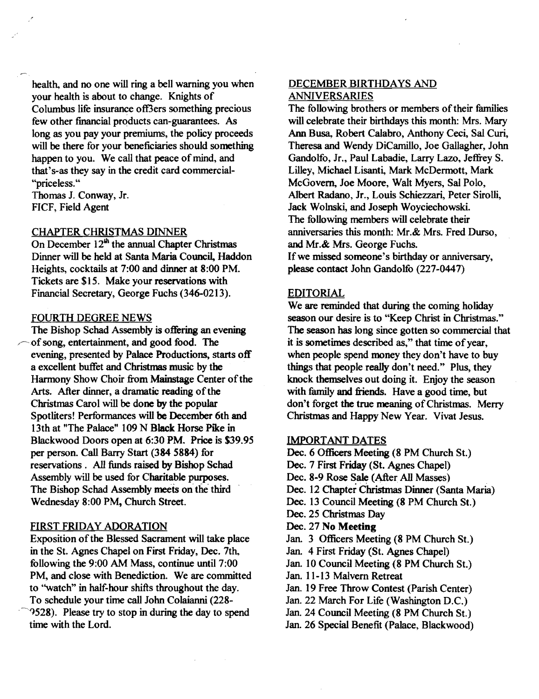health, and no one will ring a bell warning you when your health is about to change. Knights of Columbus life insurance off3ers something precious few other financial products can-guarantees. As long as you pay your premiums, the policy proceeds will be there for your beneficiaries should something happen to you. We call that peace of mind, and that's-as they say in the credit card commercial "priceless. "

Thomas J. Conway, Jr. FICF, Field Agent

#### CHAPTER CHRISTMAS DINNER

On December  $12<sup>th</sup>$  the annual Chapter Christmas Dinner will be held at Santa Maria Council, Haddon Heights, cocktails at 7:00 and dinner at 8:00 PM. Tickets are \$15. Make your reservations with Financial Secretary, George Fuchs (346-0213).

#### FOURTH DEGREE NEWS

The Bishop Schad Assembly is offering an evening of song, entertainment, and good food. The evening, presented by Palace Productions, starts off a excellent buffet and Christmas music by the Harmony Show Choir from Mainstage Center of the Arts. After dinner, a dramatic reading of the Christmas Carol will be done by the popular Spotliters! Performances will be December 6th and 13th at "The Palace" 109 N Black Horse Pike in Blackwood Doors open at 6:30 PM. Price is \$39.95 per person. Call Barry Start (384 5884) for reservations. All funds raised by Bishop Schad Assembly will be used for Charitable purposes. The Bishop Schad Assembly meets on the third Wednesday 8:00 PM, Church Street.

#### FIRST FRIDAY ADORATION

Exposition of the Blessed Sacrament will take place in the St. Agnes Chapel on First Friday, Dec. 7th, following the 9:00 AM Mass, continue until 7:00 PM, and close with Benediction. We are committed to ''watch'' in half-hour shifts throughout the day. To schedule your time call John Colaianni (228 .~")528). Please try to stop in during the day to spend time with the Lord.

#### DECEMBER BIRTHDAYS AND ANNIVERSARIES

The following brothers or members of their families will celebrate their birthdays this month: Mrs. Mary Ann Busa, Robert Calabro, Anthony Ceci, Sal Curi, Theresa and Wendy DiCamillo, Joe Gallagher, John Gandolfo, Jr., Paul Labadie, Larry Lazo, Jeffrey S. Lilley, Michael Lisanti, Mark McDermott, Mark McGovern, Joe Moore, Walt Myers, Sal Polo, Albert Radano, Jr., Louis Schiezzari, Peter Sirolli, Jack Woinski, and Joseph Woyciechowski. The following members will celebrate their anniversaries this month: Mr.& Mrs. Fred Durso, and Mr.& Mrs. George Fuchs. If we missed someone's birthday or anniversary, please contact John Gandolfo (227-0447)

#### EDITORIAL

We are reminded that during the coming holiday season our desire is to "Keep Christ in Christmas." The season has long since gotten so commercial that it is sometimes described as," that time of year, when people spend money they don't have to buy things that people really don't need." Plus, they knock themselves out doing it. Enjoy the season with family and friends. Have a good time, but don't forget the true meaning of Christmas. Merry Christmas and Happy New Year. Vivat Jesus.

#### IMPORTANT DATES

- Dec. 6 Officers Meeting (8 PM Church St.)
- Dec. 7 First Friday (St. Agnes Chapel)
- Dec. 8-9 Rose Sale (After All Masses)
- Dec. 12 Chapter christmas Dinner (Santa Maria)
- Dec. 13 Council Meeting (8 PM Church St.)
- Dec. 25 Christmas Day
- Dec. 27 No Meeting
- Jan. 3 Officers Meeting (8 PM Church St.)
- Jan. 4 First Friday (St. Agnes Chapel)
- Jan. 10 Council Meeting (8 PM Church St.)
- Jan. 11-13 Malvern Retreat
- Jan. 19 Free Throw Contest (Parish Center)
- Jan. 22 March For Life (Washington D.C.)
- Jan. 24 Council Meeting (8 PM Church St.)
- Jan. 26 Special Benefit (Palace, Blackwood)